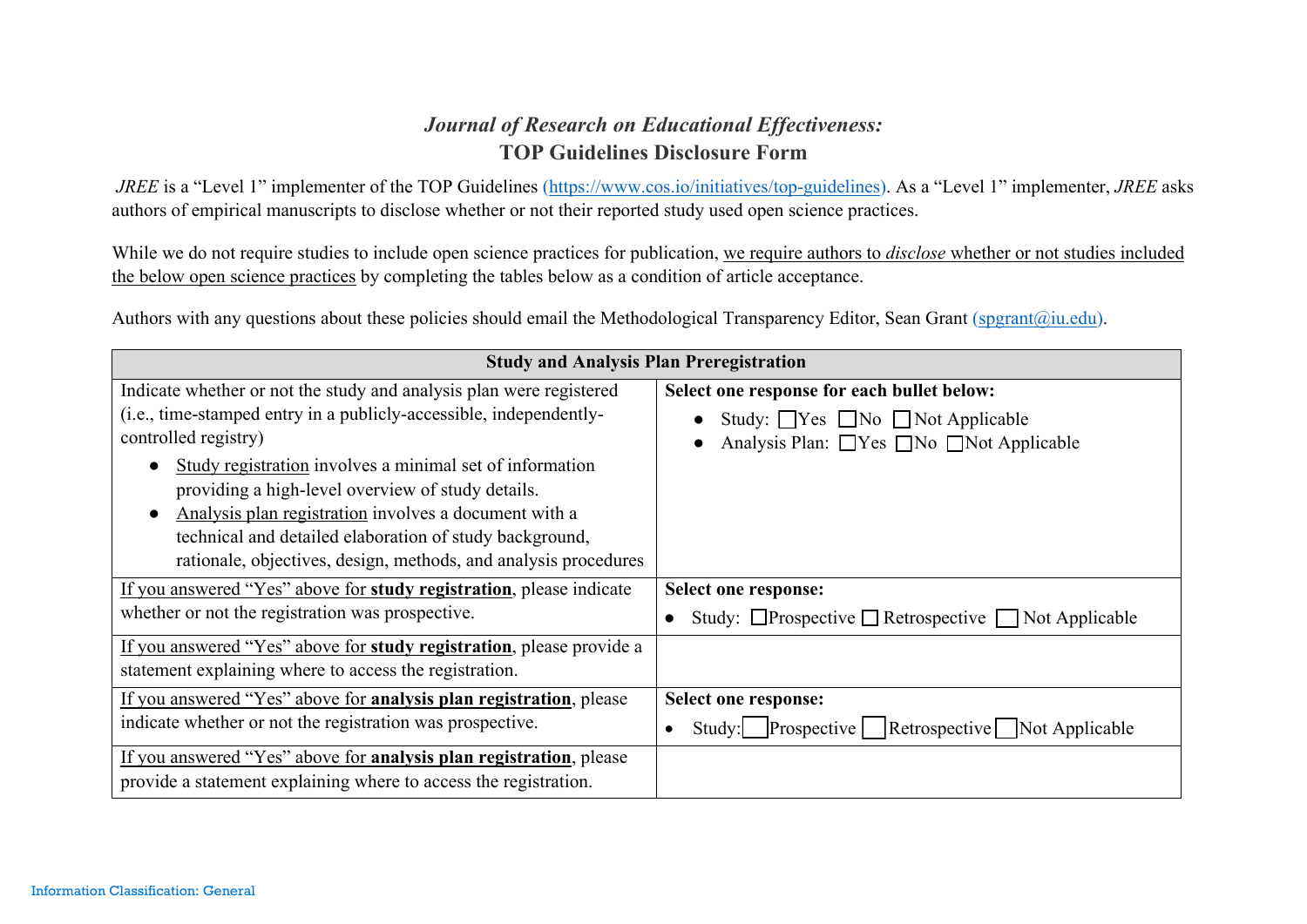## *Journal of Research on Educational Effectiveness:* **TOP Guidelines Disclosure Form**

*JREE* is a "Level 1" implementer of the TOP Guidelines (https://www.cos.io/initiatives/top-guidelines). As a "Level 1" implementer, *JREE* asks authors of empirical manuscripts to disclose whether or not their reported study used open science practices.

While we do not require studies to include open science practices for publication, we require authors to *disclose* whether or not studies included the below open science practices by completing the tables below as a condition of article acceptance.

Authors with any questions about these policies should email the Methodological Transparency Editor, Sean Grant (spgrant@iu.edu).

| <b>Study and Analysis Plan Preregistration</b>                                                                                                                                                                                                                                                                                                                                                                                                                            |                                                                                                                                               |
|---------------------------------------------------------------------------------------------------------------------------------------------------------------------------------------------------------------------------------------------------------------------------------------------------------------------------------------------------------------------------------------------------------------------------------------------------------------------------|-----------------------------------------------------------------------------------------------------------------------------------------------|
| Indicate whether or not the study and analysis plan were registered<br>(i.e., time-stamped entry in a publicly-accessible, independently-<br>controlled registry)<br>Study registration involves a minimal set of information<br>providing a high-level overview of study details.<br>Analysis plan registration involves a document with a<br>technical and detailed elaboration of study background,<br>rationale, objectives, design, methods, and analysis procedures | Select one response for each bullet below:<br>Study: $\Box$ Yes $\Box$ No $\Box$ Not Applicable<br>Analysis Plan: □ Yes □ No □ Not Applicable |
| If you answered "Yes" above for study registration, please indicate<br>whether or not the registration was prospective.                                                                                                                                                                                                                                                                                                                                                   | Select one response:<br>Study: $\Box$ Prospective $\Box$ Retrospective $\Box$ Not Applicable                                                  |
| If you answered "Yes" above for study registration, please provide a<br>statement explaining where to access the registration.                                                                                                                                                                                                                                                                                                                                            |                                                                                                                                               |
| If you answered "Yes" above for analysis plan registration, please<br>indicate whether or not the registration was prospective.                                                                                                                                                                                                                                                                                                                                           | Select one response:<br>Study: Prospective Retrospective Not Applicable                                                                       |
| If you answered "Yes" above for <b>analysis plan registration</b> , please<br>provide a statement explaining where to access the registration.                                                                                                                                                                                                                                                                                                                            |                                                                                                                                               |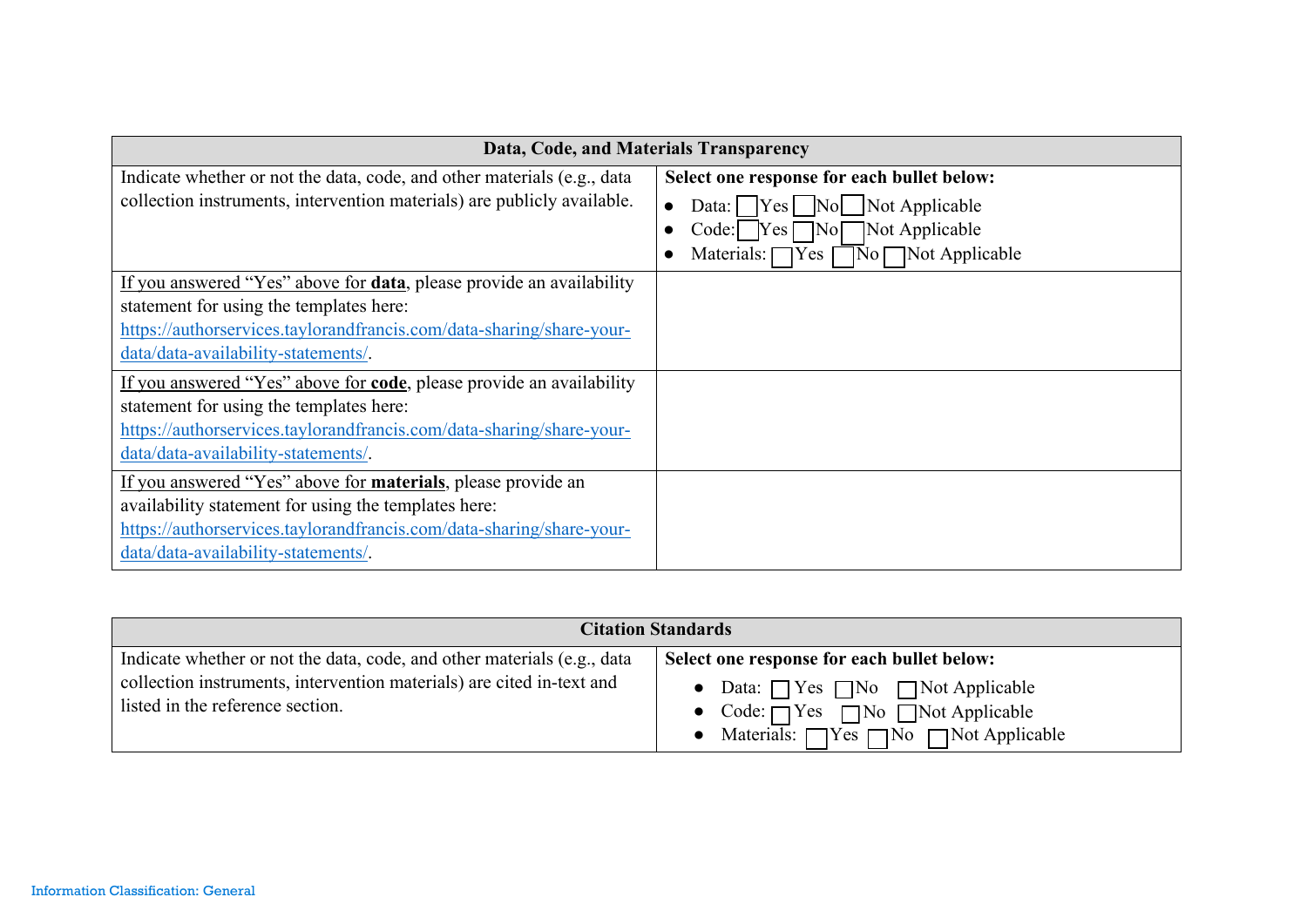| Data, Code, and Materials Transparency                                  |                                                       |
|-------------------------------------------------------------------------|-------------------------------------------------------|
| Indicate whether or not the data, code, and other materials (e.g., data | Select one response for each bullet below:            |
| collection instruments, intervention materials) are publicly available. | $\bigcap$ Yes $\bigcap$ No   Not Applicable<br>Data:  |
|                                                                         | Not Applicable<br>Code: $Yes$ No                      |
|                                                                         | Materials: $\Box$ Yes $\Box$ No $\Box$ Not Applicable |
| If you answered "Yes" above for data, please provide an availability    |                                                       |
| statement for using the templates here:                                 |                                                       |
| https://authorservices.taylorandfrancis.com/data-sharing/share-your-    |                                                       |
| data/data-availability-statements/.                                     |                                                       |
| If you answered "Yes" above for code, please provide an availability    |                                                       |
| statement for using the templates here:                                 |                                                       |
| https://authorservices.taylorandfrancis.com/data-sharing/share-your-    |                                                       |
| data/data-availability-statements/.                                     |                                                       |
| If you answered "Yes" above for materials, please provide an            |                                                       |
| availability statement for using the templates here:                    |                                                       |
| https://authorservices.taylorandfrancis.com/data-sharing/share-your-    |                                                       |
| data/data-availability-statements/.                                     |                                                       |

| <b>Citation Standards</b>                                               |                                                             |
|-------------------------------------------------------------------------|-------------------------------------------------------------|
| Indicate whether or not the data, code, and other materials (e.g., data | Select one response for each bullet below:                  |
| collection instruments, intervention materials) are cited in-text and   | • Data: $\bigcap$ Yes $\bigcap$ No $\bigcap$ Not Applicable |
| listed in the reference section.                                        | • Code: $\bigcap$ Yes $\bigcap$ No $\bigcap$ Not Applicable |
|                                                                         | • Materials: $\Box$ Yes $\Box$ No $\Box$ Not Applicable     |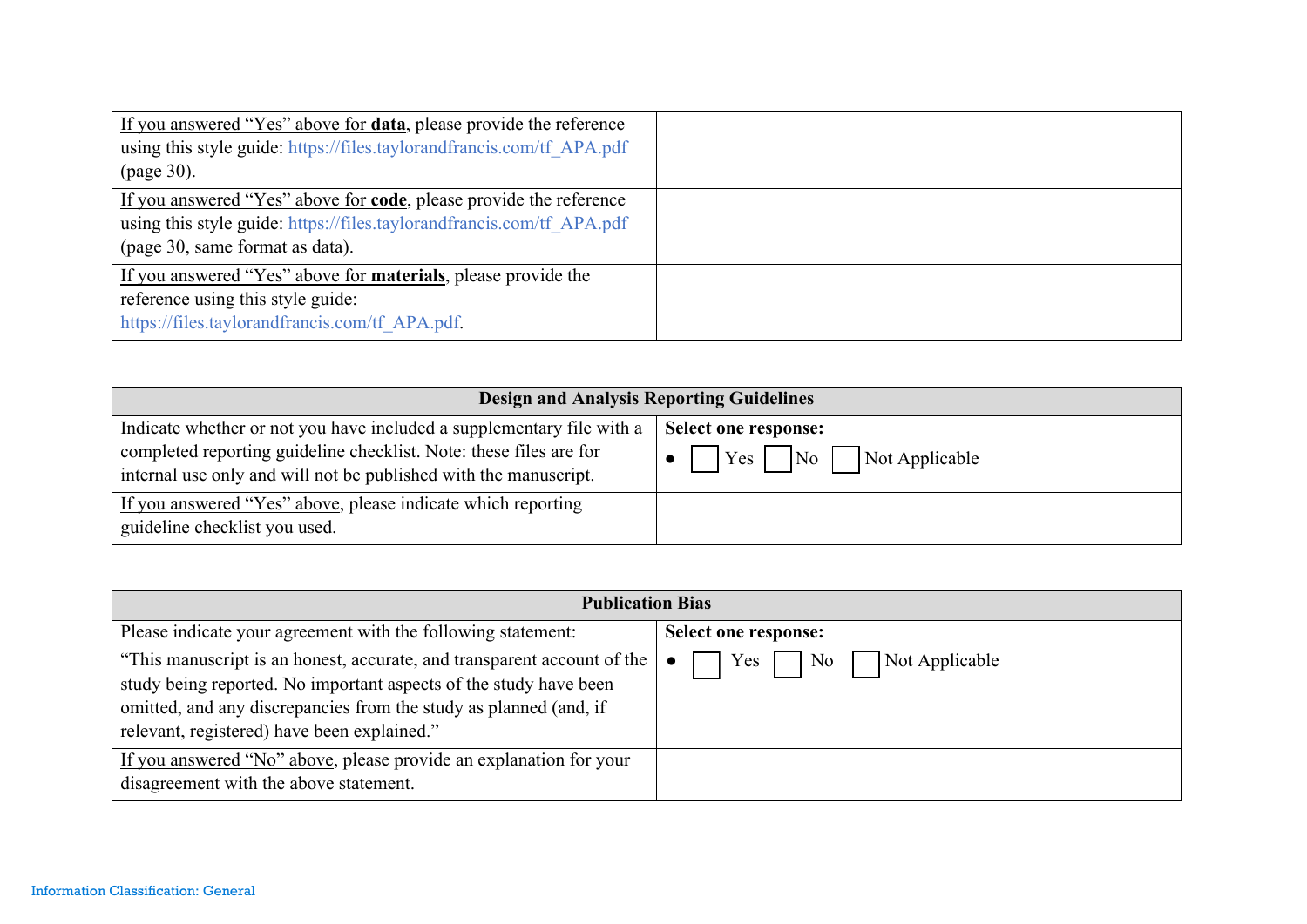| If you answered "Yes" above for <b>data</b> , please provide the reference |  |
|----------------------------------------------------------------------------|--|
| using this style guide: https://files.taylorandfrancis.com/tf APA.pdf      |  |
| (page 30).                                                                 |  |
| If you answered "Yes" above for <b>code</b> , please provide the reference |  |
| using this style guide: https://files.taylorandfrancis.com/tf APA.pdf      |  |
| (page 30, same format as data).                                            |  |
| If you answered "Yes" above for <b>materials</b> , please provide the      |  |
| reference using this style guide:                                          |  |
| https://files.taylorandfrancis.com/tf APA.pdf.                             |  |

| <b>Design and Analysis Reporting Guidelines</b>                                                                                                                                                                 |                                                              |
|-----------------------------------------------------------------------------------------------------------------------------------------------------------------------------------------------------------------|--------------------------------------------------------------|
| Indicate whether or not you have included a supplementary file with a<br>completed reporting guideline checklist. Note: these files are for<br>internal use only and will not be published with the manuscript. | Select one response:<br>$Yes \mid No \mid$<br>Not Applicable |
| If you answered "Yes" above, please indicate which reporting<br>guideline checklist you used.                                                                                                                   |                                                              |

| <b>Publication Bias</b>                                                                                                                                                                                                                                          |                                                  |  |
|------------------------------------------------------------------------------------------------------------------------------------------------------------------------------------------------------------------------------------------------------------------|--------------------------------------------------|--|
| Please indicate your agreement with the following statement:                                                                                                                                                                                                     | Select one response:                             |  |
| "This manuscript is an honest, accurate, and transparent account of the<br>study being reported. No important aspects of the study have been<br>omitted, and any discrepancies from the study as planned (and, if<br>relevant, registered) have been explained." | $Yes \Box$<br>$\overline{N_0}$<br>Not Applicable |  |
| If you answered "No" above, please provide an explanation for your<br>disagreement with the above statement.                                                                                                                                                     |                                                  |  |